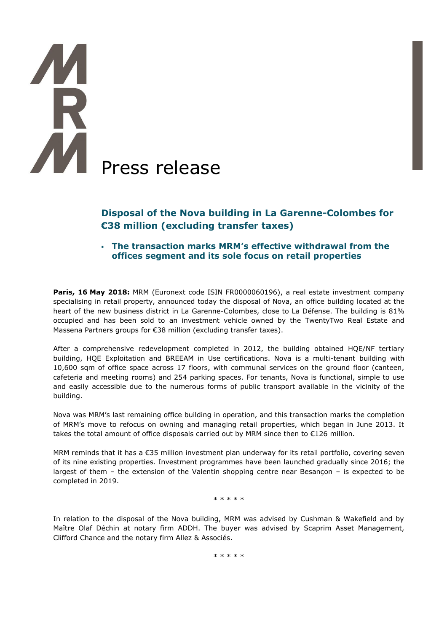# **AN** Press release

# **Disposal of the Nova building in La Garenne-Colombes for €38 million (excluding transfer taxes)**

 **The transaction marks MRM's effective withdrawal from the offices segment and its sole focus on retail properties**

**Paris, 16 May 2018:** MRM (Euronext code ISIN FR0000060196), a real estate investment company specialising in retail property, announced today the disposal of Nova, an office building located at the heart of the new business district in La Garenne-Colombes, close to La Défense. The building is 81% occupied and has been sold to an investment vehicle owned by the TwentyTwo Real Estate and Massena Partners groups for €38 million (excluding transfer taxes).

After a comprehensive redevelopment completed in 2012, the building obtained HQE/NF tertiary building, HQE Exploitation and BREEAM in Use certifications. Nova is a multi-tenant building with 10,600 sqm of office space across 17 floors, with communal services on the ground floor (canteen, cafeteria and meeting rooms) and 254 parking spaces. For tenants, Nova is functional, simple to use and easily accessible due to the numerous forms of public transport available in the vicinity of the building.

Nova was MRM's last remaining office building in operation, and this transaction marks the completion of MRM's move to refocus on owning and managing retail properties, which began in June 2013. It takes the total amount of office disposals carried out by MRM since then to €126 million.

MRM reminds that it has a €35 million investment plan underway for its retail portfolio, covering seven of its nine existing properties. Investment programmes have been launched gradually since 2016; the largest of them – the extension of the Valentin shopping centre near Besançon – is expected to be completed in 2019.

\* \* \* \* \*

In relation to the disposal of the Nova building, MRM was advised by Cushman & Wakefield and by Maître Olaf Déchin at notary firm ADDH. The buyer was advised by Scaprim Asset Management, Clifford Chance and the notary firm Allez & Associés.

\* \* \* \* \*